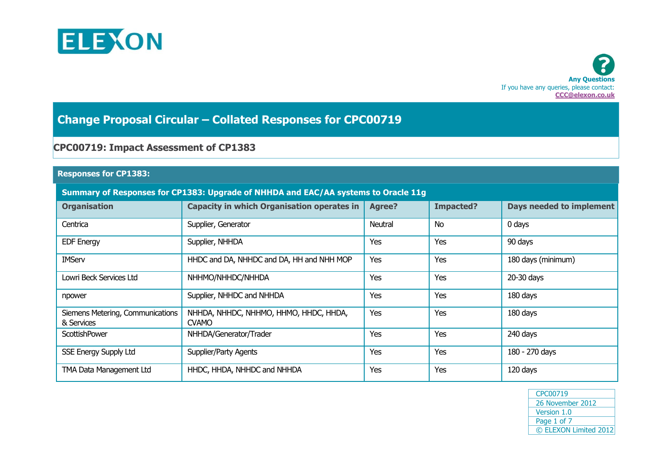



# **Change Proposal Circular – Collated Responses for CPC00719**

## **CPC00719: Impact Assessment of CP1383**

#### **Responses for CP1383:**

### **Summary of Responses for CP1383: Upgrade of NHHDA and EAC/AA systems to Oracle 11g**

| <b>Organisation</b>                            | <b>Capacity in which Organisation operates in</b>      | Agree?  | <b>Impacted?</b> | Days needed to implement |
|------------------------------------------------|--------------------------------------------------------|---------|------------------|--------------------------|
| Centrica                                       | Supplier, Generator                                    | Neutral | <b>No</b>        | $0$ days                 |
| <b>EDF Energy</b>                              | Supplier, NHHDA                                        | Yes     | Yes              | 90 days                  |
| <b>IMServ</b>                                  | HHDC and DA, NHHDC and DA, HH and NHH MOP              | Yes     | Yes              | 180 days (minimum)       |
| Lowri Beck Services Ltd                        | NHHMO/NHHDC/NHHDA                                      | Yes     | Yes              | 20-30 days               |
| npower                                         | Supplier, NHHDC and NHHDA                              | Yes     | Yes              | 180 days                 |
| Siemens Metering, Communications<br>& Services | NHHDA, NHHDC, NHHMO, HHMO, HHDC, HHDA,<br><b>CVAMO</b> | Yes     | Yes              | 180 days                 |
| ScottishPower                                  | NHHDA/Generator/Trader                                 | Yes     | Yes              | 240 days                 |
| <b>SSE Energy Supply Ltd</b>                   | Supplier/Party Agents                                  | Yes     | Yes              | 180 - 270 days           |
| TMA Data Management Ltd                        | HHDC, HHDA, NHHDC and NHHDA                            | Yes     | Yes              | 120 days                 |

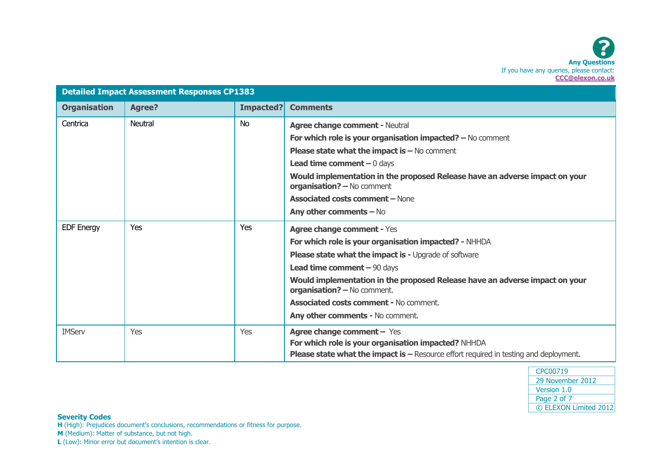|                     | <b>Detailed Impact Assessment Responses CP1383</b> |            |                                                                                                                                                                                          |
|---------------------|----------------------------------------------------|------------|------------------------------------------------------------------------------------------------------------------------------------------------------------------------------------------|
| <b>Organisation</b> | <b>Agree?</b>                                      | Impacted?  | <b>Comments</b>                                                                                                                                                                          |
| Centrica            | Neutral                                            | <b>No</b>  | <b>Agree change comment - Neutral</b>                                                                                                                                                    |
|                     |                                                    |            | For which role is your organisation impacted? $-$ No comment                                                                                                                             |
|                     |                                                    |            | <b>Please state what the impact is <math>-</math> No comment</b>                                                                                                                         |
|                     |                                                    |            | <b>Lead time comment</b> $-0$ days                                                                                                                                                       |
|                     |                                                    |            | Would implementation in the proposed Release have an adverse impact on your<br>organisation? - No comment                                                                                |
|                     |                                                    |            | <b>Associated costs comment - None</b>                                                                                                                                                   |
|                     |                                                    |            | Any other comments $-$ No                                                                                                                                                                |
| <b>EDF Energy</b>   | Yes                                                | Yes        | <b>Agree change comment - Yes</b>                                                                                                                                                        |
|                     |                                                    |            | For which role is your organisation impacted? - NHHDA                                                                                                                                    |
|                     |                                                    |            | <b>Please state what the impact is - Upgrade of software</b>                                                                                                                             |
|                     |                                                    |            | Lead time comment $-90$ days                                                                                                                                                             |
|                     |                                                    |            | Would implementation in the proposed Release have an adverse impact on your<br>organisation? - No comment.                                                                               |
|                     |                                                    |            | <b>Associated costs comment - No comment.</b>                                                                                                                                            |
|                     |                                                    |            | Any other comments - No comment.                                                                                                                                                         |
| <b>IMServ</b>       | Yes                                                | <b>Yes</b> | <b>Agree change comment - Yes</b><br>For which role is your organisation impacted? NHHDA<br><b>Please state what the impact is - Resource effort required in testing and deployment.</b> |

#### **Severity Codes**

**H** (High): Prejudices document's conclusions, recommendations or fitness for purpose.

**M** (Medium): Matter of substance, but not high.

**L** (Low): Minor error but document's intention is clear.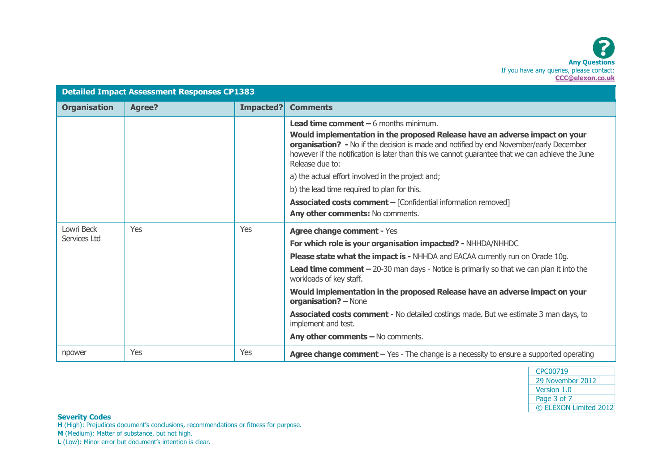|                            | <b>Detailed Impact Assessment Responses CP1383</b> |           |                                                                                                                                                                                                                                                                                                                                                                                                                                                                                                                                                                                           |
|----------------------------|----------------------------------------------------|-----------|-------------------------------------------------------------------------------------------------------------------------------------------------------------------------------------------------------------------------------------------------------------------------------------------------------------------------------------------------------------------------------------------------------------------------------------------------------------------------------------------------------------------------------------------------------------------------------------------|
| <b>Organisation</b>        | <b>Agree?</b>                                      | Impacted? | <b>Comments</b>                                                                                                                                                                                                                                                                                                                                                                                                                                                                                                                                                                           |
|                            |                                                    |           | <b>Lead time comment <math>-6</math></b> months minimum.<br>Would implementation in the proposed Release have an adverse impact on your<br>organisation? - No if the decision is made and notified by end November/early December<br>however if the notification is later than this we cannot guarantee that we can achieve the June<br>Release due to:<br>a) the actual effort involved in the project and;<br>b) the lead time required to plan for this.<br><b>Associated costs comment - [Confidential information removed]</b><br>Any other comments: No comments.                   |
| Lowri Beck<br>Services Ltd | Yes                                                | Yes       | <b>Agree change comment - Yes</b><br>For which role is your organisation impacted? - NHHDA/NHHDC<br><b>Please state what the impact is - NHHDA and EACAA currently run on Oracle 10g.</b><br><b>Lead time comment - 20-30 man days - Notice is primarily so that we can plan it into the</b><br>workloads of key staff.<br>Would implementation in the proposed Release have an adverse impact on your<br>organisation? - None<br><b>Associated costs comment - No detailed costings made. But we estimate 3 man days, to</b><br>implement and test.<br>Any other comments - No comments. |
| npower                     | Yes                                                | Yes       | Agree change comment - Yes - The change is a necessity to ensure a supported operating                                                                                                                                                                                                                                                                                                                                                                                                                                                                                                    |



**Severity Codes**

**H** (High): Prejudices document's conclusions, recommendations or fitness for purpose.

**M** (Medium): Matter of substance, but not high.

**L** (Low): Minor error but document's intention is clear.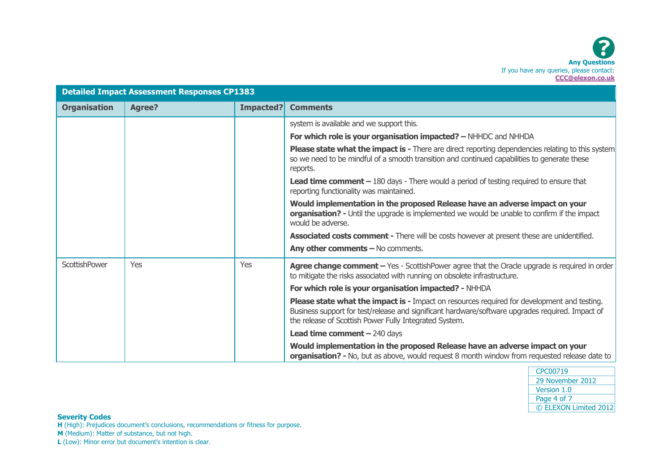

|                      | <b>Detailed Impact Assessment Responses CP1383</b> |           |                                                                                                                                                                                                                                                           |
|----------------------|----------------------------------------------------|-----------|-----------------------------------------------------------------------------------------------------------------------------------------------------------------------------------------------------------------------------------------------------------|
| <b>Organisation</b>  | <b>Agree?</b>                                      | Impacted? | <b>Comments</b>                                                                                                                                                                                                                                           |
|                      |                                                    |           | system is available and we support this.                                                                                                                                                                                                                  |
|                      |                                                    |           | For which role is your organisation impacted? - NHHDC and NHHDA                                                                                                                                                                                           |
|                      |                                                    |           | <b>Please state what the impact is -</b> There are direct reporting dependencies relating to this system<br>so we need to be mindful of a smooth transition and continued capabilities to generate these<br>reports.                                      |
|                      |                                                    |           | <b>Lead time comment <math>-180</math></b> days - There would a period of testing required to ensure that<br>reporting functionality was maintained.                                                                                                      |
|                      |                                                    |           | Would implementation in the proposed Release have an adverse impact on your<br>organisation? - Until the upgrade is implemented we would be unable to confirm if the impact<br>would be adverse.                                                          |
|                      |                                                    |           | <b>Associated costs comment - There will be costs however at present these are unidentified.</b>                                                                                                                                                          |
|                      |                                                    |           | Any other comments $-$ No comments.                                                                                                                                                                                                                       |
| <b>ScottishPower</b> | <b>Yes</b>                                         | Yes       | Agree change comment - Yes - ScottishPower agree that the Oracle upgrade is required in order<br>to mitigate the risks associated with running on obsolete infrastructure.                                                                                |
|                      |                                                    |           | For which role is your organisation impacted? - NHHDA                                                                                                                                                                                                     |
|                      |                                                    |           | Please state what the impact is - Impact on resources required for development and testing.<br>Business support for test/release and significant hardware/software upgrades required. Impact of<br>the release of Scottish Power Fully Integrated System. |
|                      |                                                    |           | <b>Lead time comment - 240 days</b>                                                                                                                                                                                                                       |
|                      |                                                    |           | Would implementation in the proposed Release have an adverse impact on your<br>organisation? - No, but as above, would request 8 month window from requested release date to                                                                              |

| CPC00719              |
|-----------------------|
| 29 November 2012      |
| Version 1.0           |
| Page 4 of 7           |
| © ELEXON Limited 2012 |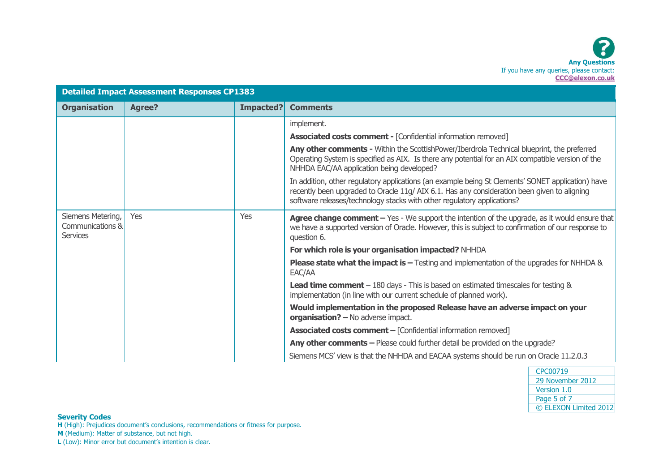|                                                          | <b>Detailed Impact Assessment Responses CP1383</b> |           |                                                                                                                                                                                                                                                                            |
|----------------------------------------------------------|----------------------------------------------------|-----------|----------------------------------------------------------------------------------------------------------------------------------------------------------------------------------------------------------------------------------------------------------------------------|
| <b>Organisation</b>                                      | <b>Agree?</b>                                      | Impacted? | <b>Comments</b>                                                                                                                                                                                                                                                            |
|                                                          |                                                    |           | implement.                                                                                                                                                                                                                                                                 |
|                                                          |                                                    |           | <b>Associated costs comment - [Confidential information removed]</b>                                                                                                                                                                                                       |
|                                                          |                                                    |           | Any other comments - Within the ScottishPower/Iberdrola Technical blueprint, the preferred<br>Operating System is specified as AIX. Is there any potential for an AIX compatible version of the<br>NHHDA EAC/AA application being developed?                               |
|                                                          |                                                    |           | In addition, other regulatory applications (an example being St Clements' SONET application) have<br>recently been upgraded to Oracle 11g/AIX 6.1. Has any consideration been given to aligning<br>software releases/technology stacks with other regulatory applications? |
| Siemens Metering,<br>Communications &<br><b>Services</b> | Yes                                                | Yes       | Agree change comment $-$ Yes - We support the intention of the upgrade, as it would ensure that<br>we have a supported version of Oracle. However, this is subject to confirmation of our response to<br>question 6.                                                       |
|                                                          |                                                    |           | For which role is your organisation impacted? NHHDA                                                                                                                                                                                                                        |
|                                                          |                                                    |           | <b>Please state what the impact is –</b> Testing and implementation of the upgrades for NHHDA $\&$<br>EAC/AA                                                                                                                                                               |
|                                                          |                                                    |           | <b>Lead time comment</b> $-180$ days - This is based on estimated timescales for testing $\&$<br>implementation (in line with our current schedule of planned work).                                                                                                       |
|                                                          |                                                    |           | Would implementation in the proposed Release have an adverse impact on your<br>organisation? - No adverse impact.                                                                                                                                                          |
|                                                          |                                                    |           | <b>Associated costs comment - [Confidential information removed]</b>                                                                                                                                                                                                       |
|                                                          |                                                    |           | Any other comments - Please could further detail be provided on the upgrade?                                                                                                                                                                                               |
|                                                          |                                                    |           | Siemens MCS' view is that the NHHDA and EACAA systems should be run on Oracle 11.2.0.3                                                                                                                                                                                     |

| CPC00719              |
|-----------------------|
| 29 November 2012      |
| Version 1.0           |
| Page 5 of 7           |
| © ELEXON Limited 2012 |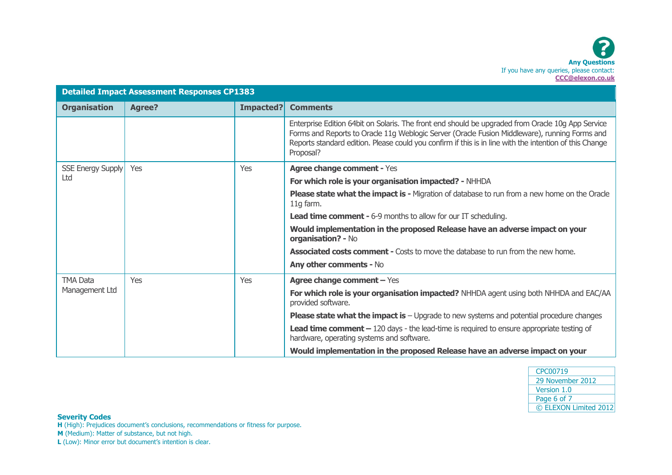|                          | <b>Detailed Impact Assessment Responses CP1383</b> |           |                                                                                                                                                                                                                                                                                                                            |
|--------------------------|----------------------------------------------------|-----------|----------------------------------------------------------------------------------------------------------------------------------------------------------------------------------------------------------------------------------------------------------------------------------------------------------------------------|
| <b>Organisation</b>      | <b>Agree?</b>                                      | Impacted? | <b>Comments</b>                                                                                                                                                                                                                                                                                                            |
|                          |                                                    |           | Enterprise Edition 64bit on Solaris. The front end should be upgraded from Oracle 10g App Service<br>Forms and Reports to Oracle 11g Weblogic Server (Oracle Fusion Middleware), running Forms and<br>Reports standard edition. Please could you confirm if this is in line with the intention of this Change<br>Proposal? |
| <b>SSE Energy Supply</b> | Yes                                                | Yes       | <b>Agree change comment - Yes</b>                                                                                                                                                                                                                                                                                          |
| Ltd                      |                                                    |           | For which role is your organisation impacted? - NHHDA                                                                                                                                                                                                                                                                      |
|                          |                                                    |           | Please state what the impact is - Migration of database to run from a new home on the Oracle<br>11g farm.                                                                                                                                                                                                                  |
|                          |                                                    |           | <b>Lead time comment -</b> 6-9 months to allow for our IT scheduling.                                                                                                                                                                                                                                                      |
|                          |                                                    |           | Would implementation in the proposed Release have an adverse impact on your<br>organisation? - No                                                                                                                                                                                                                          |
|                          |                                                    |           | <b>Associated costs comment - Costs to move the database to run from the new home.</b>                                                                                                                                                                                                                                     |
|                          |                                                    |           | Any other comments - No                                                                                                                                                                                                                                                                                                    |
| <b>TMA Data</b>          | Yes                                                | Yes       | Agree change comment - Yes                                                                                                                                                                                                                                                                                                 |
| Management Ltd           |                                                    |           | For which role is your organisation impacted? NHHDA agent using both NHHDA and EAC/AA<br>provided software.                                                                                                                                                                                                                |
|                          |                                                    |           | <b>Please state what the impact is</b> $-$ Upgrade to new systems and potential procedure changes                                                                                                                                                                                                                          |
|                          |                                                    |           | <b>Lead time comment <math>-120</math></b> days - the lead-time is required to ensure appropriate testing of<br>hardware, operating systems and software.                                                                                                                                                                  |
|                          |                                                    |           | Would implementation in the proposed Release have an adverse impact on your                                                                                                                                                                                                                                                |

| CPC00719              |
|-----------------------|
| 29 November 2012      |
| Version 1.0           |
| Page 6 of 7           |
| © ELEXON Limited 2012 |